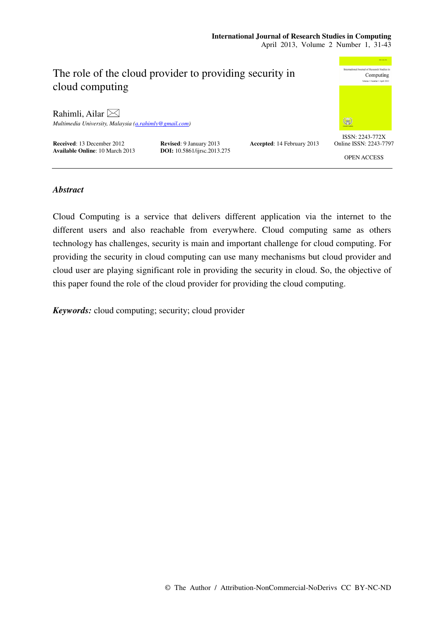

# *Abstract*

Cloud Computing is a service that delivers different application via the internet to the different users and also reachable from everywhere. Cloud computing same as others technology has challenges, security is main and important challenge for cloud computing. For providing the security in cloud computing can use many mechanisms but cloud provider and cloud user are playing significant role in providing the security in cloud. So, the objective of this paper found the role of the cloud provider for providing the cloud computing.

*Keywords:* cloud computing; security; cloud provider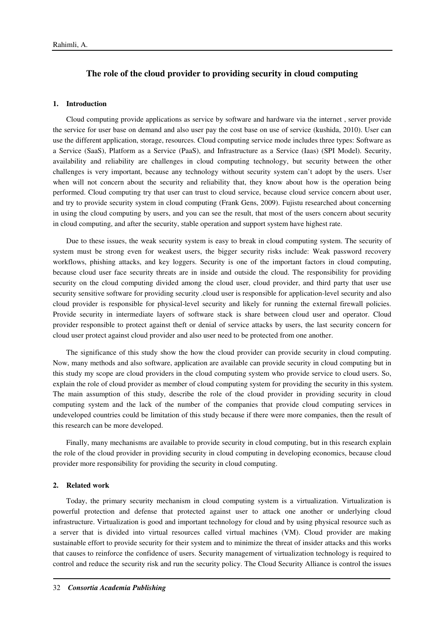# **The role of the cloud provider to providing security in cloud computing**

## **1. Introduction**

Cloud computing provide applications as service by software and hardware via the internet , server provide the service for user base on demand and also user pay the cost base on use of service (kushida, 2010). User can use the different application, storage, resources. Cloud computing service mode includes three types: Software as a Service (SaaS), Platform as a Service (PaaS), and Infrastructure as a Service (Iaas) (SPI Model). Security, availability and reliability are challenges in cloud computing technology, but security between the other challenges is very important, because any technology without security system can't adopt by the users. User when will not concern about the security and reliability that, they know about how is the operation being performed. Cloud computing try that user can trust to cloud service, because cloud service concern about user, and try to provide security system in cloud computing (Frank Gens, 2009). Fujistu researched about concerning in using the cloud computing by users, and you can see the result, that most of the users concern about security in cloud computing, and after the security, stable operation and support system have highest rate.

Due to these issues, the weak security system is easy to break in cloud computing system. The security of system must be strong even for weakest users, the bigger security risks include: Weak password recovery workflows, phishing attacks, and key loggers. Security is one of the important factors in cloud computing, because cloud user face security threats are in inside and outside the cloud. The responsibility for providing security on the cloud computing divided among the cloud user, cloud provider, and third party that user use security sensitive software for providing security .cloud user is responsible for application-level security and also cloud provider is responsible for physical-level security and likely for running the external firewall policies. Provide security in intermediate layers of software stack is share between cloud user and operator. Cloud provider responsible to protect against theft or denial of service attacks by users, the last security concern for cloud user protect against cloud provider and also user need to be protected from one another.

The significance of this study show the how the cloud provider can provide security in cloud computing. Now, many methods and also software, application are available can provide security in cloud computing but in this study my scope are cloud providers in the cloud computing system who provide service to cloud users. So, explain the role of cloud provider as member of cloud computing system for providing the security in this system. The main assumption of this study, describe the role of the cloud provider in providing security in cloud computing system and the lack of the number of the companies that provide cloud computing services in undeveloped countries could be limitation of this study because if there were more companies, then the result of this research can be more developed.

Finally, many mechanisms are available to provide security in cloud computing, but in this research explain the role of the cloud provider in providing security in cloud computing in developing economics, because cloud provider more responsibility for providing the security in cloud computing.

#### **2. Related work**

Today, the primary security mechanism in cloud computing system is a virtualization. Virtualization is powerful protection and defense that protected against user to attack one another or underlying cloud infrastructure. Virtualization is good and important technology for cloud and by using physical resource such as a server that is divided into virtual resources called virtual machines (VM). Cloud provider are making sustainable effort to provide security for their system and to minimize the threat of insider attacks and this works that causes to reinforce the confidence of users. Security management of virtualization technology is required to control and reduce the security risk and run the security policy. The Cloud Security Alliance is control the issues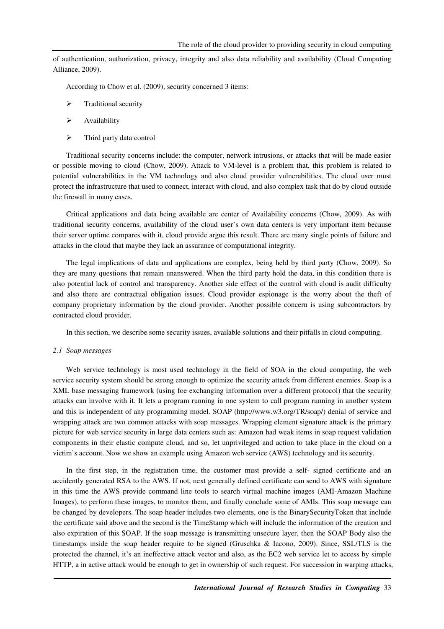of authentication, authorization, privacy, integrity and also data reliability and availability (Cloud Computing Alliance, 2009).

According to Chow et al. (2009), security concerned 3 items:

- $\triangleright$  Traditional security
- > Availability
- $\triangleright$  Third party data control

Traditional security concerns include: the computer, network intrusions, or attacks that will be made easier or possible moving to cloud (Chow, 2009). Attack to VM-level is a problem that, this problem is related to potential vulnerabilities in the VM technology and also cloud provider vulnerabilities. The cloud user must protect the infrastructure that used to connect, interact with cloud, and also complex task that do by cloud outside the firewall in many cases.

Critical applications and data being available are center of Availability concerns (Chow, 2009). As with traditional security concerns, availability of the cloud user's own data centers is very important item because their server uptime compares with it, cloud provide argue this result. There are many single points of failure and attacks in the cloud that maybe they lack an assurance of computational integrity.

The legal implications of data and applications are complex, being held by third party (Chow, 2009). So they are many questions that remain unanswered. When the third party hold the data, in this condition there is also potential lack of control and transparency. Another side effect of the control with cloud is audit difficulty and also there are contractual obligation issues. Cloud provider espionage is the worry about the theft of company proprietary information by the cloud provider. Another possible concern is using subcontractors by contracted cloud provider.

In this section, we describe some security issues, available solutions and their pitfalls in cloud computing.

*2.1 Soap messages* 

Web service technology is most used technology in the field of SOA in the cloud computing, the web service security system should be strong enough to optimize the security attack from different enemies. Soap is a XML base messaging framework (using foe exchanging information over a different protocol) that the security attacks can involve with it. It lets a program running in one system to call program running in another system and this is independent of any programming model. SOAP (http://www.w3.org/TR/soap/) denial of service and wrapping attack are two common attacks with soap messages. Wrapping element signature attack is the primary picture for web service security in large data centers such as: Amazon had weak items in soap request validation components in their elastic compute cloud, and so, let unprivileged and action to take place in the cloud on a victim's account. Now we show an example using Amazon web service (AWS) technology and its security.

In the first step, in the registration time, the customer must provide a self- signed certificate and an accidently generated RSA to the AWS. If not, next generally defined certificate can send to AWS with signature in this time the AWS provide command line tools to search virtual machine images (AMI-Amazon Machine Images), to perform these images, to monitor them, and finally conclude some of AMIs. This soap message can be changed by developers. The soap header includes two elements, one is the BinarySecurityToken that include the certificate said above and the second is the TimeStamp which will include the information of the creation and also expiration of this SOAP. If the soap message is transmitting unsecure layer, then the SOAP Body also the timestamps inside the soap header require to be signed (Gruschka & Iacono, 2009). Since, SSL/TLS is the protected the channel, it's an ineffective attack vector and also, as the EC2 web service let to access by simple HTTP, a in active attack would be enough to get in ownership of such request. For succession in warping attacks,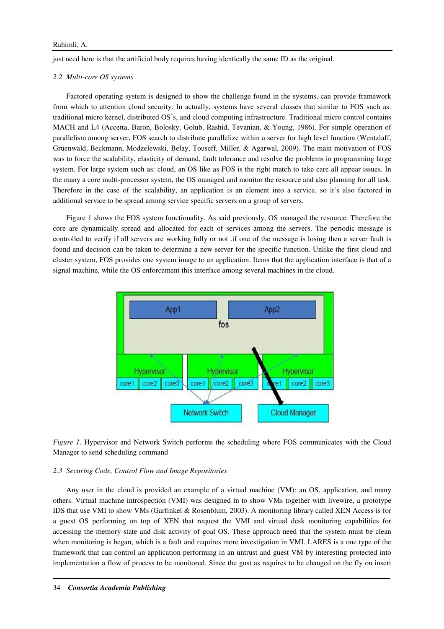just need here is that the artificial body requires having identically the same ID as the original.

### *2.2 Multi-core OS systems*

Factored operating system is designed to show the challenge found in the systems, can provide framework from which to attention cloud security. In actually, systems have several classes that similar to FOS such as: traditional micro kernel, distributed OS's, and cloud computing infrastructure. Traditional micro control contains MACH and L4 (Accetta, Baron, Bolosky, Golub, Rashid, Tevanian, & Young, 1986). For simple operation of parallelism among server, FOS search to distribute parallelize within a server for high level function (Wentzlaff, Gruenwald, Beckmann, Modzelewski, Belay, Touseff, Miller, & Agarwal, 2009). The main motivation of FOS was to force the scalability, elasticity of demand, fault tolerance and resolve the problems in programming large system. For large system such as: cloud, an OS like as FOS is the right match to take care all appear issues. In the many a core multi-processor system, the OS managed and monitor the resource and also planning for all task. Therefore in the case of the scalability, an application is an element into a service, so it's also factored in additional service to be spread among service specific servers on a group of servers.

Figure 1 shows the FOS system functionality. As said previously, OS managed the resource. Therefore the core are dynamically spread and allocated for each of services among the servers. The periodic message is controlled to verify if all servers are working fully or not .if one of the message is losing then a server fault is found and decision can be taken to determine a new server for the specific function. Unlike the first cloud and cluster system, FOS provides one system image to an application. Items that the application interface is that of a signal machine, while the OS enforcement this interface among several machines in the cloud.





#### *2.3 Securing Code, Control Flow and Image Repositories*

Any user in the cloud is provided an example of a virtual machine (VM): an OS, application, and many others. Virtual machine introspection (VMI) was designed in to show VMs together with livewire, a prototype IDS that use VMI to show VMs (Garfinkel & Rosenblum, 2003). A monitoring library called XEN Access is for a guest OS performing on top of XEN that request the VMI and virtual desk monitoring capabilities for accessing the memory state and disk activity of goal OS. These approach need that the system must be clean when monitoring is began, which is a fault and requires more investigation in VMI. LARES is a one type of the framework that can control an application performing in an untrust and guest VM by interesting protected into implementation a flow of process to be monitored. Since the gust as requires to be changed on the fly on insert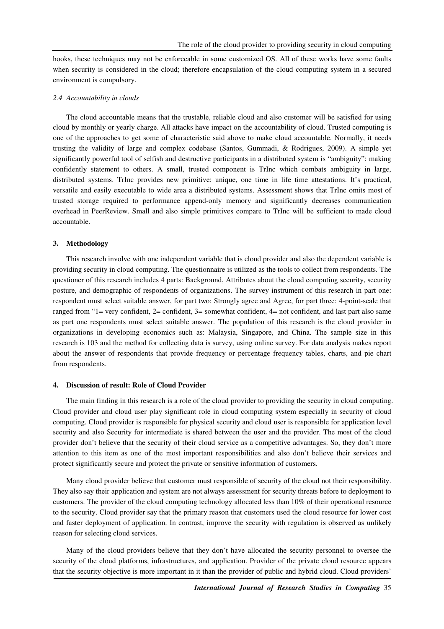hooks, these techniques may not be enforceable in some customized OS. All of these works have some faults when security is considered in the cloud; therefore encapsulation of the cloud computing system in a secured environment is compulsory.

#### *2.4 Accountability in clouds*

The cloud accountable means that the trustable, reliable cloud and also customer will be satisfied for using cloud by monthly or yearly charge. All attacks have impact on the accountability of cloud. Trusted computing is one of the approaches to get some of characteristic said above to make cloud accountable. Normally, it needs trusting the validity of large and complex codebase (Santos, Gummadi, & Rodrigues, 2009). A simple yet significantly powerful tool of selfish and destructive participants in a distributed system is "ambiguity": making confidently statement to others. A small, trusted component is TrInc which combats ambiguity in large, distributed systems. TrInc provides new primitive: unique, one time in life time attestations. It's practical, versatile and easily executable to wide area a distributed systems. Assessment shows that TrInc omits most of trusted storage required to performance append-only memory and significantly decreases communication overhead in PeerReview. Small and also simple primitives compare to TrInc will be sufficient to made cloud accountable.

#### **3. Methodology**

This research involve with one independent variable that is cloud provider and also the dependent variable is providing security in cloud computing. The questionnaire is utilized as the tools to collect from respondents. The questioner of this research includes 4 parts: Background, Attributes about the cloud computing security, security posture, and demographic of respondents of organizations. The survey instrument of this research in part one: respondent must select suitable answer, for part two: Strongly agree and Agree, for part three: 4-point-scale that ranged from "1= very confident, 2= confident, 3= somewhat confident, 4= not confident, and last part also same as part one respondents must select suitable answer. The population of this research is the cloud provider in organizations in developing economics such as: Malaysia, Singapore, and China. The sample size in this research is 103 and the method for collecting data is survey, using online survey. For data analysis makes report about the answer of respondents that provide frequency or percentage frequency tables, charts, and pie chart from respondents.

#### **4. Discussion of result: Role of Cloud Provider**

The main finding in this research is a role of the cloud provider to providing the security in cloud computing. Cloud provider and cloud user play significant role in cloud computing system especially in security of cloud computing. Cloud provider is responsible for physical security and cloud user is responsible for application level security and also Security for intermediate is shared between the user and the provider. The most of the cloud provider don't believe that the security of their cloud service as a competitive advantages. So, they don't more attention to this item as one of the most important responsibilities and also don't believe their services and protect significantly secure and protect the private or sensitive information of customers.

Many cloud provider believe that customer must responsible of security of the cloud not their responsibility. They also say their application and system are not always assessment for security threats before to deployment to customers. The provider of the cloud computing technology allocated less than 10% of their operational resource to the security. Cloud provider say that the primary reason that customers used the cloud resource for lower cost and faster deployment of application. In contrast, improve the security with regulation is observed as unlikely reason for selecting cloud services.

Many of the cloud providers believe that they don't have allocated the security personnel to oversee the security of the cloud platforms, infrastructures, and application. Provider of the private cloud resource appears that the security objective is more important in it than the provider of public and hybrid cloud. Cloud providers'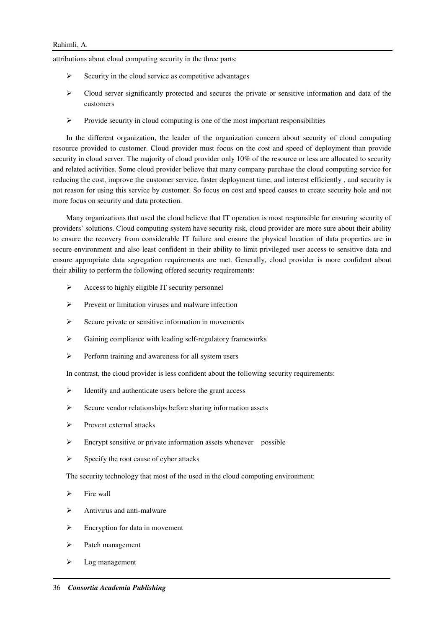## Rahimli, A.

attributions about cloud computing security in the three parts:

- $\triangleright$  Security in the cloud service as competitive advantages
- Cloud server significantly protected and secures the private or sensitive information and data of the customers
- $\triangleright$  Provide security in cloud computing is one of the most important responsibilities

In the different organization, the leader of the organization concern about security of cloud computing resource provided to customer. Cloud provider must focus on the cost and speed of deployment than provide security in cloud server. The majority of cloud provider only 10% of the resource or less are allocated to security and related activities. Some cloud provider believe that many company purchase the cloud computing service for reducing the cost, improve the customer service, faster deployment time, and interest efficiently , and security is not reason for using this service by customer. So focus on cost and speed causes to create security hole and not more focus on security and data protection.

Many organizations that used the cloud believe that IT operation is most responsible for ensuring security of providers' solutions. Cloud computing system have security risk, cloud provider are more sure about their ability to ensure the recovery from considerable IT failure and ensure the physical location of data properties are in secure environment and also least confident in their ability to limit privileged user access to sensitive data and ensure appropriate data segregation requirements are met. Generally, cloud provider is more confident about their ability to perform the following offered security requirements:

- $\triangleright$  Access to highly eligible IT security personnel
- $\triangleright$  Prevent or limitation viruses and malware infection
- $\triangleright$  Secure private or sensitive information in movements
- Gaining compliance with leading self-regulatory frameworks
- Perform training and awareness for all system users

In contrast, the cloud provider is less confident about the following security requirements:

- $\triangleright$  Identify and authenticate users before the grant access
- $\triangleright$  Secure vendor relationships before sharing information assets
- $\triangleright$  Prevent external attacks
- $\triangleright$  Encrypt sensitive or private information assets whenever possible
- $\triangleright$  Specify the root cause of cyber attacks

The security technology that most of the used in the cloud computing environment:

- $\triangleright$  Fire wall
- $\triangleright$  Antivirus and anti-malware
- $\triangleright$  Encryption for data in movement
- $\triangleright$  Patch management
- $\triangleright$  Log management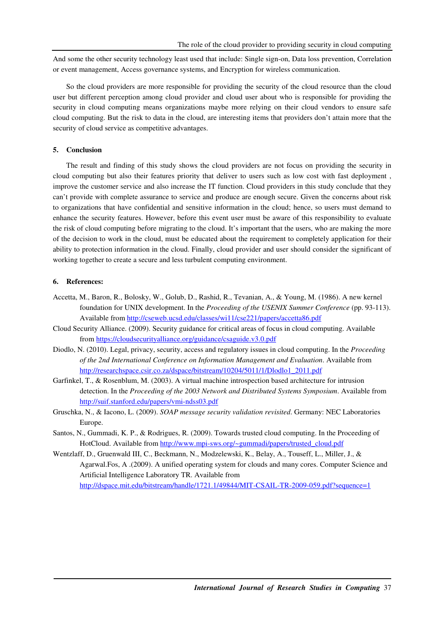And some the other security technology least used that include: Single sign-on, Data loss prevention, Correlation or event management, Access governance systems, and Encryption for wireless communication.

So the cloud providers are more responsible for providing the security of the cloud resource than the cloud user but different perception among cloud provider and cloud user about who is responsible for providing the security in cloud computing means organizations maybe more relying on their cloud vendors to ensure safe cloud computing. But the risk to data in the cloud, are interesting items that providers don't attain more that the security of cloud service as competitive advantages.

### **5. Conclusion**

The result and finding of this study shows the cloud providers are not focus on providing the security in cloud computing but also their features priority that deliver to users such as low cost with fast deployment , improve the customer service and also increase the IT function. Cloud providers in this study conclude that they can't provide with complete assurance to service and produce are enough secure. Given the concerns about risk to organizations that have confidential and sensitive information in the cloud; hence, so users must demand to enhance the security features. However, before this event user must be aware of this responsibility to evaluate the risk of cloud computing before migrating to the cloud. It's important that the users, who are making the more of the decision to work in the cloud, must be educated about the requirement to completely application for their ability to protection information in the cloud. Finally, cloud provider and user should consider the significant of working together to create a secure and less turbulent computing environment.

## **6. References:**

- Accetta, M., Baron, R., Bolosky, W., Golub, D., Rashid, R., Tevanian, A., & Young, M. (1986). A new kernel foundation for UNIX development. In the *Proceeding of the USENIX Summer Conference* (pp. 93-113). Available from http://cseweb.ucsd.edu/classes/wi11/cse221/papers/accetta86.pdf
- Cloud Security Alliance. (2009). Security guidance for critical areas of focus in cloud computing. Available from https://cloudsecurityalliance.org/guidance/csaguide.v3.0.pdf
- Diodlo, N. (2010). Legal, privacy, security, access and regulatory issues in cloud computing. In the *Proceeding of the 2nd International Conference on Information Management and Evaluation*. Available from http://researchspace.csir.co.za/dspace/bitstream/10204/5011/1/Dlodlo1\_2011.pdf
- Garfinkel, T., & Rosenblum, M. (2003). A virtual machine introspection based architecture for intrusion detection. In the *Proceeding of the 2003 Network and Distributed Systems Symposium*. Available from http://suif.stanford.edu/papers/vmi-ndss03.pdf
- Gruschka, N., & Iacono, L. (2009). *SOAP message security validation revisited*. Germany: NEC Laboratories Europe.
- Santos, N., Gummadi, K. P., & Rodrigues, R. (2009). Towards trusted cloud computing. In the Proceeding of HotCloud. Available from http://www.mpi-sws.org/~gummadi/papers/trusted\_cloud.pdf
- Wentzlaff, D., Gruenwald III, C., Beckmann, N., Modzelewski, K., Belay, A., Touseff, L., Miller, J., & Agarwal.Fos, A .(2009). A unified operating system for clouds and many cores. Computer Science and Artificial Intelligence Laboratory TR. Available from http://dspace.mit.edu/bitstream/handle/1721.1/49844/MIT-CSAIL-TR-2009-059.pdf?sequence=1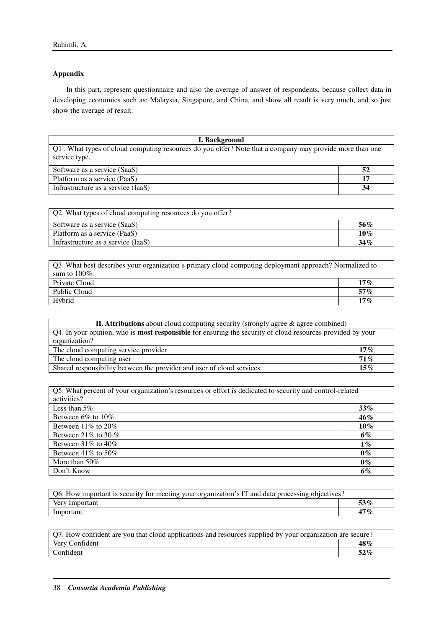# **Appendix**

In this part, represent questionnaire and also the average of answer of respondents, because collect data in developing economics such as: Malaysia, Singapore, and China, and show all result is very much, and so just show the average of result.

| I. Background                                                                                                            |    |
|--------------------------------------------------------------------------------------------------------------------------|----|
| Q1. What types of cloud computing resources do you offer? Note that a company may provide more than one<br>service type. |    |
| Software as a service (SaaS)                                                                                             | 52 |
| Platform as a service (PaaS)                                                                                             |    |
| Infrastructure as a service (IaaS)                                                                                       | 34 |

| Q2. What types of cloud computing resources do you offer? |        |
|-----------------------------------------------------------|--------|
| Software as a service (SaaS)                              | 56%    |
| Platform as a service (PaaS)                              | $10\%$ |
| Infrastructure as a service (IaaS)                        | 34%    |

| Q3. What best describes your organization's primary cloud computing deployment approach? Normalized to |        |
|--------------------------------------------------------------------------------------------------------|--------|
| sum to $100\%$ .                                                                                       |        |
| Private Cloud                                                                                          | $17\%$ |
| Public Cloud                                                                                           | $57\%$ |
| Hybrid                                                                                                 | $17\%$ |

| II. Attributions about cloud computing security (strongly agree & agree combined)                                                  |        |
|------------------------------------------------------------------------------------------------------------------------------------|--------|
| Q4. In your opinion, who is <b>most responsible</b> for ensuring the security of cloud resources provided by your<br>organization? |        |
| The cloud computing service provider                                                                                               | $17\%$ |
| The cloud computing user                                                                                                           | 71%    |
| Shared responsibility between the provider and user of cloud services                                                              | $15\%$ |

| Q5. What percent of your organization's resources or effort is dedicated to security and control-related |        |
|----------------------------------------------------------------------------------------------------------|--------|
| activities?                                                                                              |        |
| Less than $5\%$                                                                                          | $33\%$ |
| Between $6\%$ to $10\%$                                                                                  | $46\%$ |
| Between $11\%$ to $20\%$                                                                                 | $10\%$ |
| Between 21\% to 30 \%                                                                                    | 6%     |
| Between $31\%$ to $40\%$                                                                                 | $1\%$  |
| Between $41\%$ to $50\%$                                                                                 | $0\%$  |
| More than $50\%$                                                                                         | $0\%$  |
| Don't Know                                                                                               | 6%     |

| O6. How important is security for meeting your organization's IT and data processing objectives? |     |
|--------------------------------------------------------------------------------------------------|-----|
| Very Important                                                                                   | 53‰ |
| Important                                                                                        | 47% |

| Q7. How confident are you that cloud applications and resources supplied by your organization are secure? |     |
|-----------------------------------------------------------------------------------------------------------|-----|
| Very Confident                                                                                            | 48% |
| Confident                                                                                                 | 52% |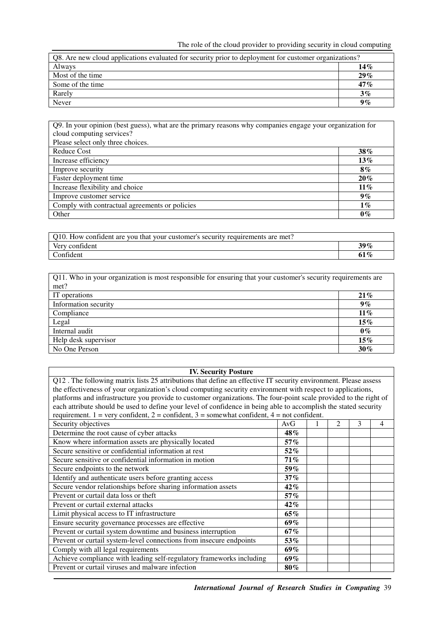The role of the cloud provider to providing security in cloud computing

| Q8. Are new cloud applications evaluated for security prior to deployment for customer organizations? |     |
|-------------------------------------------------------------------------------------------------------|-----|
| Always                                                                                                | 14% |
| Most of the time                                                                                      | 29% |
| Some of the time                                                                                      | 47% |
| Rarely                                                                                                | 3%  |
| Never                                                                                                 | 9%  |

| Q9. In your opinion (best guess), what are the primary reasons why companies engage your organization for |        |
|-----------------------------------------------------------------------------------------------------------|--------|
| cloud computing services?                                                                                 |        |
| Please select only three choices.                                                                         |        |
| Reduce Cost                                                                                               | $38\%$ |
| Increase efficiency                                                                                       | $13\%$ |
| Improve security                                                                                          | 8%     |
| Faster deployment time                                                                                    | 20%    |
| Increase flexibility and choice                                                                           | $11\%$ |
| Improve customer service                                                                                  | 9%     |
| Comply with contractual agreements or policies                                                            | $1\%$  |
| Other                                                                                                     | $0\%$  |

| O10. How confident are you that your customer's security requirements are met? |      |
|--------------------------------------------------------------------------------|------|
| Very confident                                                                 | 39 % |
| Confident                                                                      | 61%  |

| Q11. Who in your organization is most responsible for ensuring that your customer's security requirements are |        |
|---------------------------------------------------------------------------------------------------------------|--------|
| met?                                                                                                          |        |
| IT operations                                                                                                 | $21\%$ |
| Information security                                                                                          | 9%     |
| Compliance                                                                                                    | $11\%$ |
| Legal                                                                                                         | $15\%$ |
| Internal audit                                                                                                | $0\%$  |
| Help desk supervisor                                                                                          | $15\%$ |
| No One Person                                                                                                 | $30\%$ |

| <b>IV. Security Posture</b>                                                                                              |        |  |                |   |   |
|--------------------------------------------------------------------------------------------------------------------------|--------|--|----------------|---|---|
| Q12. The following matrix lists 25 attributions that define an effective IT security environment. Please assess          |        |  |                |   |   |
| the effectiveness of your organization's cloud computing security environment with respect to applications,              |        |  |                |   |   |
| platforms and infrastructure you provide to customer organizations. The four-point scale provided to the right of        |        |  |                |   |   |
| each attribute should be used to define your level of confidence in being able to accomplish the stated security         |        |  |                |   |   |
| requirement. $1 = \text{very confident}, 2 = \text{confident}, 3 = \text{somewhat confident}, 4 = \text{not confident}.$ |        |  |                |   |   |
| Security objectives                                                                                                      | AvG    |  | $\mathfrak{D}$ | 3 | 4 |
| Determine the root cause of cyber attacks                                                                                | 48%    |  |                |   |   |
| Know where information assets are physically located                                                                     | $57\%$ |  |                |   |   |
| Secure sensitive or confidential information at rest                                                                     | $52\%$ |  |                |   |   |
| Secure sensitive or confidential information in motion                                                                   | $71\%$ |  |                |   |   |
| Secure endpoints to the network                                                                                          | 59%    |  |                |   |   |
| Identify and authenticate users before granting access                                                                   | $37\%$ |  |                |   |   |
| Secure vendor relationships before sharing information assets                                                            | 42%    |  |                |   |   |
| Prevent or curtail data loss or theft                                                                                    | $57\%$ |  |                |   |   |
| Prevent or curtail external attacks                                                                                      | 42%    |  |                |   |   |
| Limit physical access to IT infrastructure                                                                               | 65%    |  |                |   |   |
| Ensure security governance processes are effective                                                                       | $69\%$ |  |                |   |   |
| Prevent or curtail system downtime and business interruption                                                             | $67\%$ |  |                |   |   |
| Prevent or curtail system-level connections from insecure endpoints                                                      | 53%    |  |                |   |   |
| Comply with all legal requirements                                                                                       | $69\%$ |  |                |   |   |
| Achieve compliance with leading self-regulatory frameworks including                                                     | 69%    |  |                |   |   |
| Prevent or curtail viruses and malware infection                                                                         | 80%    |  |                |   |   |

٦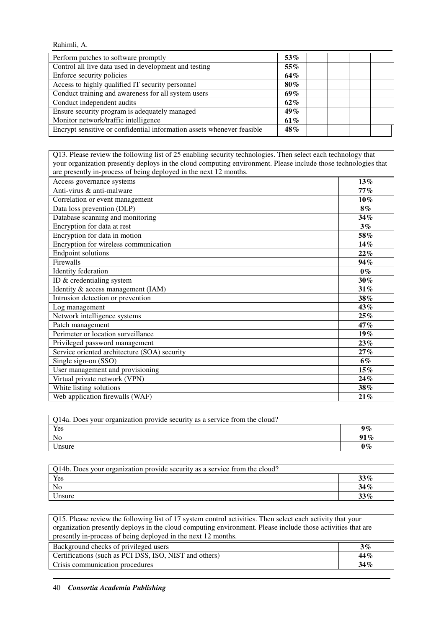Rahimli, A.

| Perform patches to software promptly                                   | $53\%$ |  |  |
|------------------------------------------------------------------------|--------|--|--|
| Control all live data used in development and testing                  | $55\%$ |  |  |
| Enforce security policies                                              | 64%    |  |  |
| Access to highly qualified IT security personnel                       | $80\%$ |  |  |
| Conduct training and awareness for all system users                    | 69%    |  |  |
| Conduct independent audits                                             | $62\%$ |  |  |
| Ensure security program is adequately managed                          | $49\%$ |  |  |
| Monitor network/traffic intelligence                                   | 61%    |  |  |
| Encrypt sensitive or confidential information assets whenever feasible | $48\%$ |  |  |

Q13. Please review the following list of 25 enabling security technologies. Then select each technology that your organization presently deploys in the cloud computing environment. Please include those technologies that are presently in-process of being deployed in the next 12 months.

| Access governance systems                    | 13%    |
|----------------------------------------------|--------|
| Anti-virus & anti-malware                    | 77%    |
| Correlation or event management              | $10\%$ |
| Data loss prevention (DLP)                   | $8\%$  |
| Database scanning and monitoring             | 34%    |
| Encryption for data at rest                  | $3\%$  |
| Encryption for data in motion                | 58%    |
| Encryption for wireless communication        | 14%    |
| <b>Endpoint solutions</b>                    | 22%    |
| Firewalls                                    | 94%    |
| Identity federation                          | $0\%$  |
| ID & credentialing system                    | $30\%$ |
| Identity & access management (IAM)           | 31%    |
| Intrusion detection or prevention            | 38%    |
| Log management                               | 43%    |
| Network intelligence systems                 | $25\%$ |
| Patch management                             | 47%    |
| Perimeter or location surveillance           | $19\%$ |
| Privileged password management               | $23\%$ |
| Service oriented architecture (SOA) security | 27%    |
| Single sign-on (SSO)                         | 6%     |
| User management and provisioning             | $15\%$ |
| Virtual private network (VPN)                | 24%    |
| White listing solutions                      | 38%    |
| Web application firewalls (WAF)              | 21%    |

| Q14a. Does your organization provide security as a service from the cloud? |       |
|----------------------------------------------------------------------------|-------|
| Yes                                                                        | $9\%$ |
| No                                                                         | 91%   |
| Unsure                                                                     | $0\%$ |

| Q14b. Does your organization provide security as a service from the cloud? |     |
|----------------------------------------------------------------------------|-----|
| Yes                                                                        | 33% |
| N <sub>o</sub>                                                             | 34% |
| Unsure                                                                     | 33% |

| Q15. Please review the following list of 17 system control activities. Then select each activity that your  |        |
|-------------------------------------------------------------------------------------------------------------|--------|
| organization presently deploys in the cloud computing environment. Please include those activities that are |        |
| presently in-process of being deployed in the next 12 months.                                               |        |
| Background checks of privileged users                                                                       | 3%     |
| Certifications (such as PCI DSS, ISO, NIST and others)                                                      | 44%    |
| Crisis communication procedures                                                                             | $34\%$ |
|                                                                                                             |        |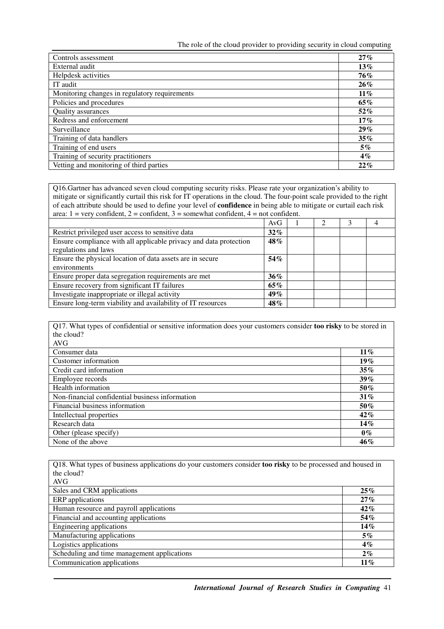The role of the cloud provider to providing security in cloud computing

| Controls assessment                           | 27%    |
|-----------------------------------------------|--------|
| External audit                                | $13\%$ |
| Helpdesk activities                           | 76%    |
| IT audit                                      | $26\%$ |
| Monitoring changes in regulatory requirements | $11\%$ |
| Policies and procedures                       | $65\%$ |
| Quality assurances                            | $52\%$ |
| Redress and enforcement                       | $17\%$ |
| Surveillance                                  | $29\%$ |
| Training of data handlers                     | $35\%$ |
| Training of end users                         | $5\%$  |
| Training of security practitioners            | $4\%$  |
| Vetting and monitoring of third parties       | 22%    |

Q16.Gartner has advanced seven cloud computing security risks. Please rate your organization's ability to mitigate or significantly curtail this risk for IT operations in the cloud. The four-point scale provided to the right of each attribute should be used to define your level of **confidence** in being able to mitigate or curtail each risk area:  $1 = \text{very confident}, 2 = \text{confident}, 3 = \text{somewhat confident}, 4 = \text{not confident}$ 

|                                                                   | AvG    |  |  |
|-------------------------------------------------------------------|--------|--|--|
| Restrict privileged user access to sensitive data                 | $32\%$ |  |  |
| Ensure compliance with all applicable privacy and data protection | 48%    |  |  |
| regulations and laws                                              |        |  |  |
| Ensure the physical location of data assets are in secure         | $54\%$ |  |  |
| environments                                                      |        |  |  |
| Ensure proper data segregation requirements are met               | $36\%$ |  |  |
| Ensure recovery from significant IT failures                      | $65\%$ |  |  |
| Investigate inappropriate or illegal activity                     | $49\%$ |  |  |
| Ensure long-term viability and availability of IT resources       | 48%    |  |  |

Q17. What types of confidential or sensitive information does your customers consider **too risky** to be stored in the cloud?

| <b>AVG</b>                                      |        |
|-------------------------------------------------|--------|
| Consumer data                                   | $11\%$ |
| Customer information                            | $19\%$ |
| Credit card information                         | $35\%$ |
| Employee records                                | $39\%$ |
| Health information                              | 50%    |
| Non-financial confidential business information | $31\%$ |
| Financial business information                  | 50%    |
| Intellectual properties                         | 42%    |
| Research data                                   | $14\%$ |
| Other (please specify)                          | $0\%$  |
| None of the above                               | 46%    |

Q18. What types of business applications do your customers consider **too risky** to be processed and housed in the cloud?

| <b>AVG</b>                                  |        |
|---------------------------------------------|--------|
| Sales and CRM applications                  | $25\%$ |
| ERP applications                            | 27%    |
| Human resource and payroll applications     | $42\%$ |
| Financial and accounting applications       | 54%    |
| Engineering applications                    | $14\%$ |
| Manufacturing applications                  | $5\%$  |
| Logistics applications                      | $4\%$  |
| Scheduling and time management applications | $2\%$  |
| Communication applications                  | $11\%$ |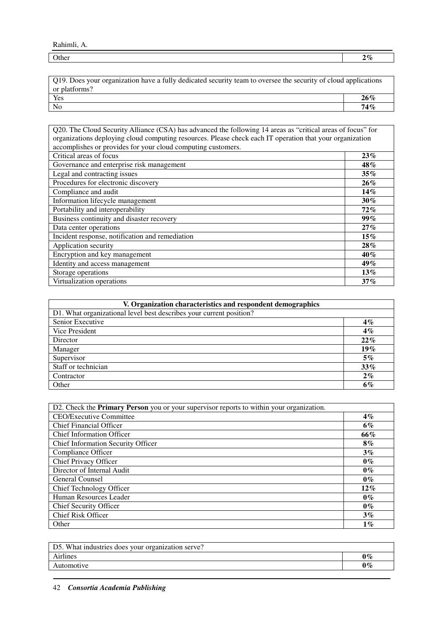| ___ |            |
|-----|------------|
|     | ח ו<br>-11 |

| 0.019. Does your organization have a fully dedicated security team to oversee the security of cloud applications |     |
|------------------------------------------------------------------------------------------------------------------|-----|
| or platforms?                                                                                                    |     |
| Yes                                                                                                              | 26% |
| N <sub>0</sub>                                                                                                   | 74% |

| Q20. The Cloud Security Alliance (CSA) has advanced the following 14 areas as "critical areas of focus" for<br>organizations deploying cloud computing resources. Please check each IT operation that your organization |        |
|-------------------------------------------------------------------------------------------------------------------------------------------------------------------------------------------------------------------------|--------|
| accomplishes or provides for your cloud computing customers.                                                                                                                                                            |        |
| Critical areas of focus                                                                                                                                                                                                 | 23%    |
| Governance and enterprise risk management                                                                                                                                                                               | 48%    |
| Legal and contracting issues                                                                                                                                                                                            | 35%    |
| Procedures for electronic discovery                                                                                                                                                                                     | $26\%$ |
| Compliance and audit                                                                                                                                                                                                    | $14\%$ |
| Information lifecycle management                                                                                                                                                                                        | $30\%$ |
| Portability and interoperability                                                                                                                                                                                        | 72%    |
| Business continuity and disaster recovery                                                                                                                                                                               | $99\%$ |
| Data center operations                                                                                                                                                                                                  | 27%    |
| Incident response, notification and remediation                                                                                                                                                                         | $15\%$ |
| Application security                                                                                                                                                                                                    | $28\%$ |
| Encryption and key management                                                                                                                                                                                           | $40\%$ |
| Identity and access management                                                                                                                                                                                          | 49%    |
| Storage operations                                                                                                                                                                                                      | $13\%$ |
| Virtualization operations                                                                                                                                                                                               | 37%    |

| V. Organization characteristics and respondent demographics         |        |
|---------------------------------------------------------------------|--------|
| D1. What organizational level best describes your current position? |        |
| Senior Executive                                                    | $4\%$  |
| Vice President                                                      | $4\%$  |
| Director                                                            | $22\%$ |
| Manager                                                             | $19\%$ |
| Supervisor                                                          | $5\%$  |
| Staff or technician                                                 | $33\%$ |
| Contractor                                                          | $2\%$  |
| Other                                                               | $6\%$  |

| D2. Check the Primary Person you or your supervisor reports to within your organization. |        |
|------------------------------------------------------------------------------------------|--------|
| <b>CEO/Executive Committee</b>                                                           | $4\%$  |
| <b>Chief Financial Officer</b>                                                           | $6\%$  |
| <b>Chief Information Officer</b>                                                         | 66%    |
| <b>Chief Information Security Officer</b>                                                | $8\%$  |
| Compliance Officer                                                                       | $3\%$  |
| Chief Privacy Officer                                                                    | $0\%$  |
| Director of Internal Audit                                                               | $0\%$  |
| <b>General Counsel</b>                                                                   | $0\%$  |
| Chief Technology Officer                                                                 | $12\%$ |
| Human Resources Leader                                                                   | $0\%$  |
| Chief Security Officer                                                                   | $0\%$  |
| <b>Chief Risk Officer</b>                                                                | $3\%$  |
| Other                                                                                    | $1\%$  |

| D5. What industries does your organization serve? |       |
|---------------------------------------------------|-------|
| Airlines                                          | $0\%$ |
| Automotive                                        | $0\%$ |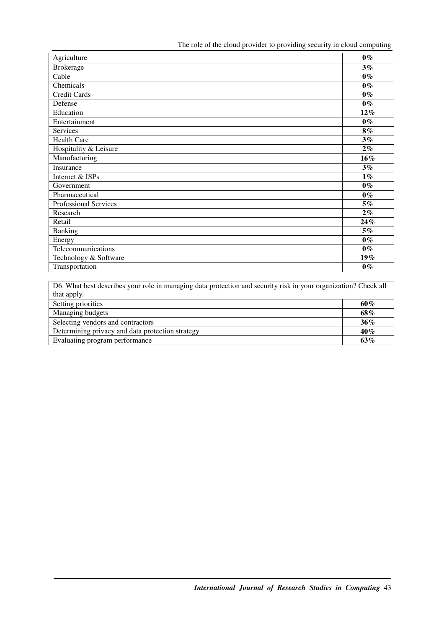The role of the cloud provider to providing security in cloud computing

| Agriculture           | $0\%$  |
|-----------------------|--------|
| <b>Brokerage</b>      | $3\%$  |
| Cable                 | $0\%$  |
| Chemicals             | $0\%$  |
| Credit Cards          | $0\%$  |
| Defense               | $0\%$  |
| Education             | $12\%$ |
| Entertainment         | $0\%$  |
| Services              | $8\%$  |
| <b>Health Care</b>    | $3\%$  |
| Hospitality & Leisure | $2\%$  |
| Manufacturing         | $16\%$ |
| Insurance             | $3\%$  |
| Internet & ISPs       | $1\%$  |
| Government            | $0\%$  |
| Pharmaceutical        | $0\%$  |
| Professional Services | $5\%$  |
| Research              | $2\%$  |
| Retail                | 24%    |
| Banking               | $5\%$  |
| Energy                | $0\%$  |
| Telecommunications    | $0\%$  |
| Technology & Software | 19%    |
| Transportation        | $0\%$  |

| D6. What best describes your role in managing data protection and security risk in your organization? Check all |        |
|-----------------------------------------------------------------------------------------------------------------|--------|
| that apply.                                                                                                     |        |
| Setting priorities                                                                                              | 60%    |
| Managing budgets                                                                                                | 68%    |
| Selecting vendors and contractors                                                                               | $36\%$ |
| Determining privacy and data protection strategy                                                                | $40\%$ |
| Evaluating program performance                                                                                  | $63\%$ |